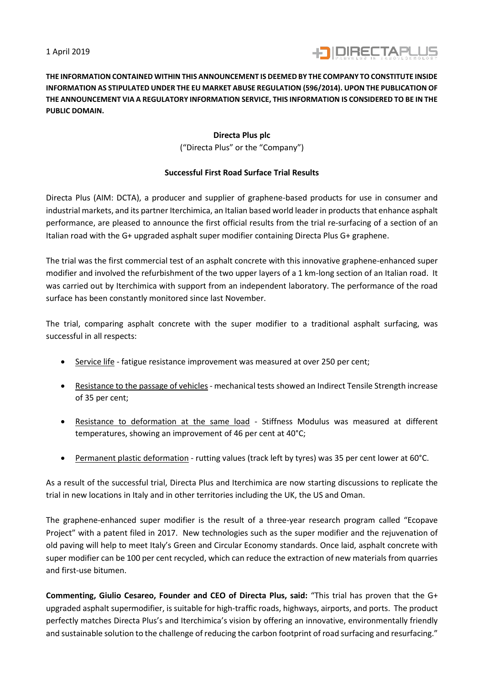1 April 2019



**THE INFORMATION CONTAINED WITHIN THIS ANNOUNCEMENT IS DEEMED BY THE COMPANY TO CONSTITUTE INSIDE INFORMATION AS STIPULATED UNDER THE EU MARKET ABUSE REGULATION (596/2014). UPON THE PUBLICATION OF THE ANNOUNCEMENT VIA A REGULATORY INFORMATION SERVICE, THIS INFORMATION IS CONSIDERED TO BE IN THE PUBLIC DOMAIN.**

## **Directa Plus plc**

("Directa Plus" or the "Company")

## **Successful First Road Surface Trial Results**

Directa Plus (AIM: DCTA), a producer and supplier of graphene-based products for use in consumer and industrial markets, and its partner Iterchimica, an Italian based world leader in products that enhance asphalt performance, are pleased to announce the first official results from the trial re-surfacing of a section of an Italian road with the G+ upgraded asphalt super modifier containing Directa Plus G+ graphene.

The trial was the first commercial test of an asphalt concrete with this innovative graphene-enhanced super modifier and involved the refurbishment of the two upper layers of a 1 km-long section of an Italian road. It was carried out by Iterchimica with support from an independent laboratory. The performance of the road surface has been constantly monitored since last November.

The trial, comparing asphalt concrete with the super modifier to a traditional asphalt surfacing, was successful in all respects:

- Service life fatigue resistance improvement was measured at over 250 per cent;
- Resistance to the passage of vehicles mechanical tests showed an Indirect Tensile Strength increase of 35 per cent;
- Resistance to deformation at the same load Stiffness Modulus was measured at different temperatures, showing an improvement of 46 per cent at 40°C;
- Permanent plastic deformation rutting values (track left by tyres) was 35 per cent lower at 60°C.

As a result of the successful trial, Directa Plus and Iterchimica are now starting discussions to replicate the trial in new locations in Italy and in other territories including the UK, the US and Oman.

The graphene-enhanced super modifier is the result of a three-year research program called "Ecopave Project" with a patent filed in 2017. New technologies such as the super modifier and the rejuvenation of old paving will help to meet Italy's Green and Circular Economy standards. Once laid, asphalt concrete with super modifier can be 100 per cent recycled, which can reduce the extraction of new materials from quarries and first-use bitumen.

**Commenting, Giulio Cesareo, Founder and CEO of Directa Plus, said:** "This trial has proven that the G+ upgraded asphalt supermodifier, is suitable for high-traffic roads, highways, airports, and ports. The product perfectly matches Directa Plus's and Iterchimica's vision by offering an innovative, environmentally friendly and sustainable solution to the challenge of reducing the carbon footprint of road surfacing and resurfacing."